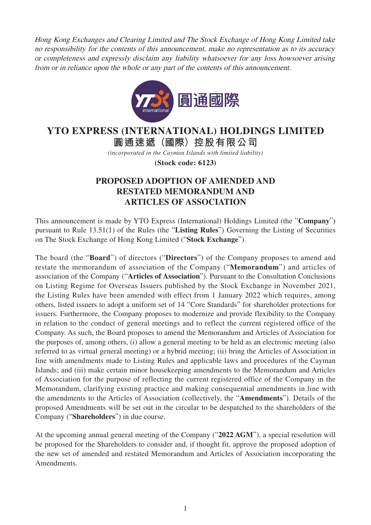Hong Kong Exchanges and Clearing Limited and The Stock Exchange of Hong Kong Limited take no responsibility for the contents of this announcement, make no representation as to its accuracy or completeness and expressly disclaim any liability whatsoever for any loss howsoever arising from or in reliance upon the whole or any part of the contents of this announcement.



## **YTO EXPRESS (INTERNATIONAL) HOLDINGS LIMITED**

**圓通速遞(國際)控股有限公司**

*(incorporated in the Cayman Islands with limited liability)*

**(Stock code: 6123)**

## **PROPOSED ADOPTION OF AMENDED AND RESTATED MEMORANDUM AND ARTICLES OF ASSOCIATION**

This announcement is made by YTO Express (International) Holdings Limited (the "**Company**") pursuant to Rule 13.51(1) of the Rules (the "**Listing Rules**") Governing the Listing of Securities on The Stock Exchange of Hong Kong Limited ("**Stock Exchange**").

The board (the "**Board**") of directors ("**Directors**") of the Company proposes to amend and restate the memorandum of association of the Company ("**Memorandum**") and articles of association of the Company ("**Articles of Association**"). Pursuant to the Consultation Conclusions on Listing Regime for Overseas Issuers published by the Stock Exchange in November 2021, the Listing Rules have been amended with effect from 1 January 2022 which requires, among others, listed issuers to adopt a uniform set of 14 "Core Standards" for shareholder protections for issuers. Furthermore, the Company proposes to modernize and provide flexibility to the Company in relation to the conduct of general meetings and to reflect the current registered office of the Company. As such, the Board proposes to amend the Memorandum and Articles of Association for the purposes of, among others, (i) allow a general meeting to be held as an electronic meeting (also referred to as virtual general meeting) or a hybrid meeting; (ii) bring the Articles of Association in line with amendments made to Listing Rules and applicable laws and procedures of the Cayman Islands; and (iii) make certain minor housekeeping amendments to the Memorandum and Articles of Association for the purpose of reflecting the current registered office of the Company in the Memorandum, clarifying existing practice and making consequential amendments in line with the amendments to the Articles of Association (collectively, the "**Amendments**"). Details of the proposed Amendments will be set out in the circular to be despatched to the shareholders of the Company ("**Shareholders**") in due course.

At the upcoming annual general meeting of the Company ("**2022 AGM**"), a special resolution will be proposed for the Shareholders to consider and, if thought fit, approve the proposed adoption of the new set of amended and restated Memorandum and Articles of Association incorporating the Amendments.